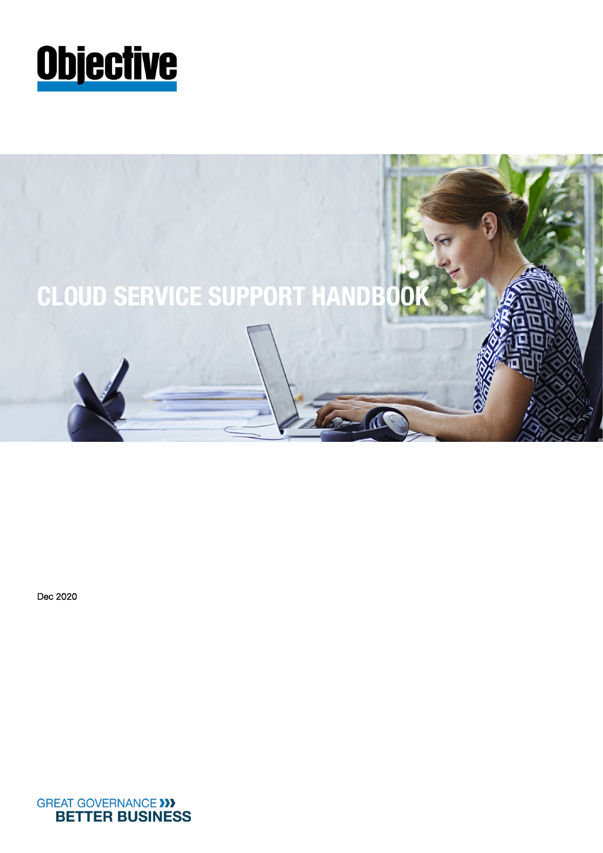



Dec 2020

**GREAT GOVERNANCE >>> BETTER BUSINESS**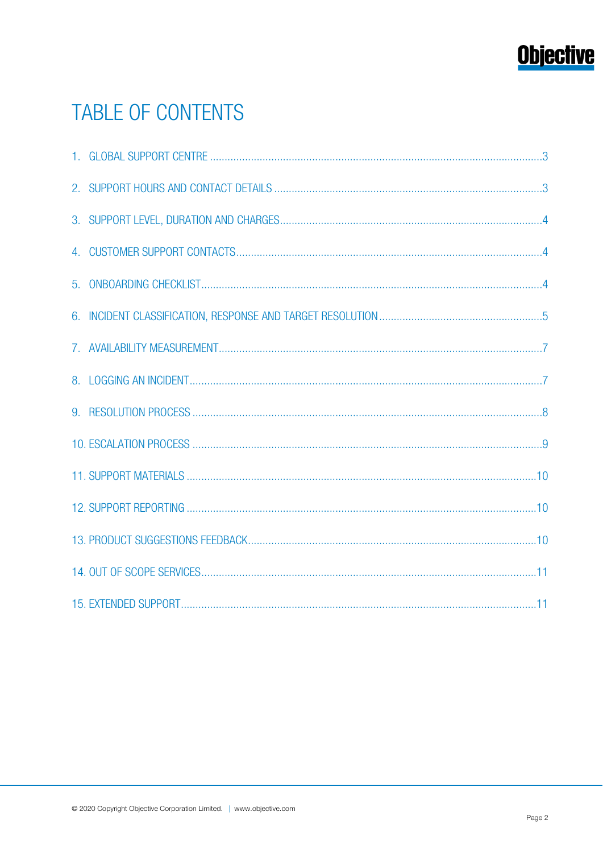# **Objective**

# **TABLE OF CONTENTS**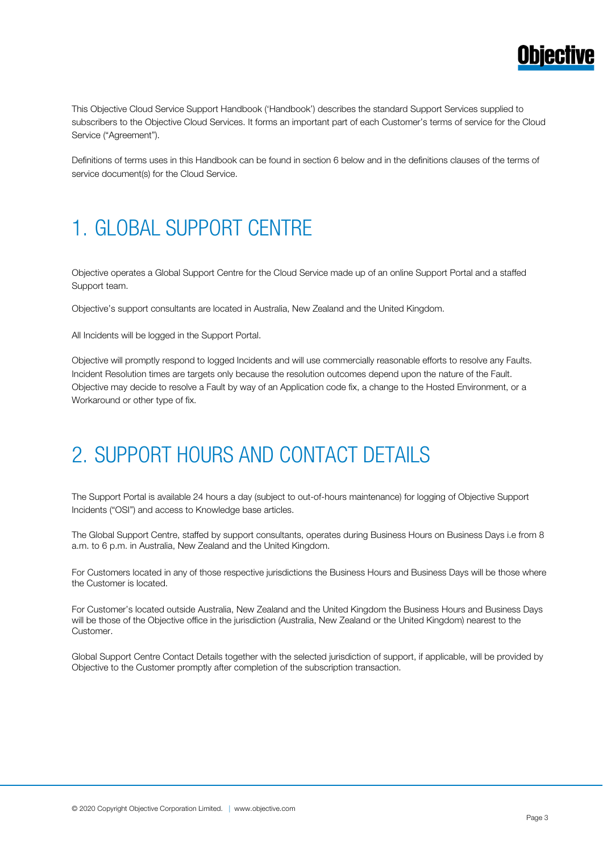

This Objective Cloud Service Support Handbook ('Handbook') describes the standard Support Services supplied to subscribers to the Objective Cloud Services. It forms an important part of each Customer's terms of service for the Cloud Service ("Agreement").

Definitions of terms uses in this Handbook can be found in section 6 below and in the definitions clauses of the terms of service document(s) for the Cloud Service.

# 1. GLOBAL SUPPORT CENTRE

Objective operates a Global Support Centre for the Cloud Service made up of an online Support Portal and a staffed Support team.

Objective's support consultants are located in Australia, New Zealand and the United Kingdom.

All Incidents will be logged in the Support Portal.

Objective will promptly respond to logged Incidents and will use commercially reasonable efforts to resolve any Faults. Incident Resolution times are targets only because the resolution outcomes depend upon the nature of the Fault. Objective may decide to resolve a Fault by way of an Application code fix, a change to the Hosted Environment, or a Workaround or other type of fix.

# 2. SUPPORT HOURS AND CONTACT DETAILS

The Support Portal is available 24 hours a day (subject to out-of-hours maintenance) for logging of Objective Support Incidents ("OSI") and access to Knowledge base articles.

The Global Support Centre, staffed by support consultants, operates during Business Hours on Business Days i.e from 8 a.m. to 6 p.m. in Australia, New Zealand and the United Kingdom.

For Customers located in any of those respective jurisdictions the Business Hours and Business Days will be those where the Customer is located.

For Customer's located outside Australia, New Zealand and the United Kingdom the Business Hours and Business Days will be those of the Objective office in the jurisdiction (Australia, New Zealand or the United Kingdom) nearest to the Customer.

Global Support Centre Contact Details together with the selected jurisdiction of support, if applicable, will be provided by Objective to the Customer promptly after completion of the subscription transaction.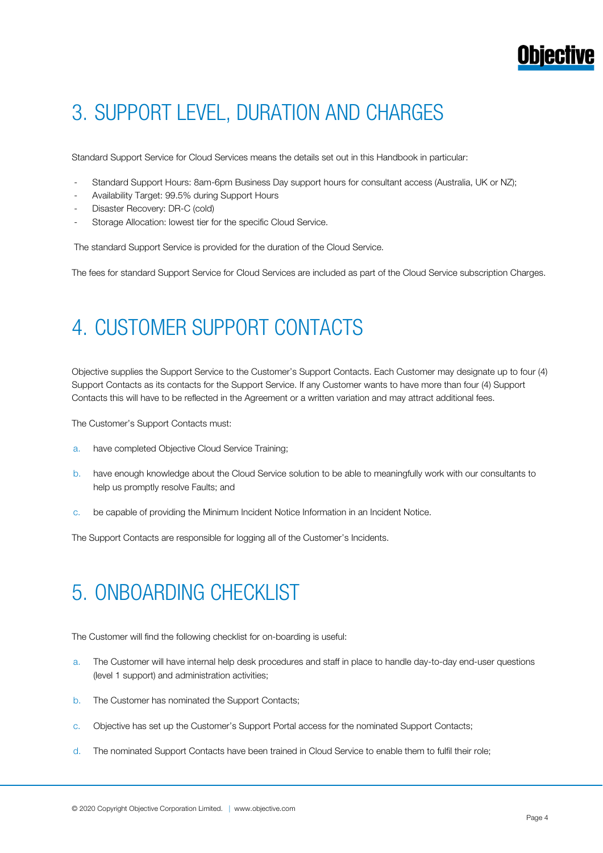# 3. SUPPORT LEVEL, DURATION AND CHARGES

Standard Support Service for Cloud Services means the details set out in this Handbook in particular:

- Standard Support Hours: 8am-6pm Business Day support hours for consultant access (Australia, UK or NZ);
- Availability Target: 99.5% during Support Hours
- Disaster Recovery: DR-C (cold)
- Storage Allocation: lowest tier for the specific Cloud Service.

The standard Support Service is provided for the duration of the Cloud Service.

The fees for standard Support Service for Cloud Services are included as part of the Cloud Service subscription Charges.

### 4. CUSTOMER SUPPORT CONTACTS

Objective supplies the Support Service to the Customer's Support Contacts. Each Customer may designate up to four (4) Support Contacts as its contacts for the Support Service. If any Customer wants to have more than four (4) Support Contacts this will have to be reflected in the Agreement or a written variation and may attract additional fees.

The Customer's Support Contacts must:

- a. have completed Objective Cloud Service Training;
- b. have enough knowledge about the Cloud Service solution to be able to meaningfully work with our consultants to help us promptly resolve Faults; and
- c. be capable of providing the Minimum Incident Notice Information in an Incident Notice.

The Support Contacts are responsible for logging all of the Customer's Incidents.

# 5. ONBOARDING CHECKLIST

The Customer will find the following checklist for on-boarding is useful:

- a. The Customer will have internal help desk procedures and staff in place to handle day-to-day end-user questions (level 1 support) and administration activities;
- b. The Customer has nominated the Support Contacts;
- c. Objective has set up the Customer's Support Portal access for the nominated Support Contacts;
- d. The nominated Support Contacts have been trained in Cloud Service to enable them to fulfil their role;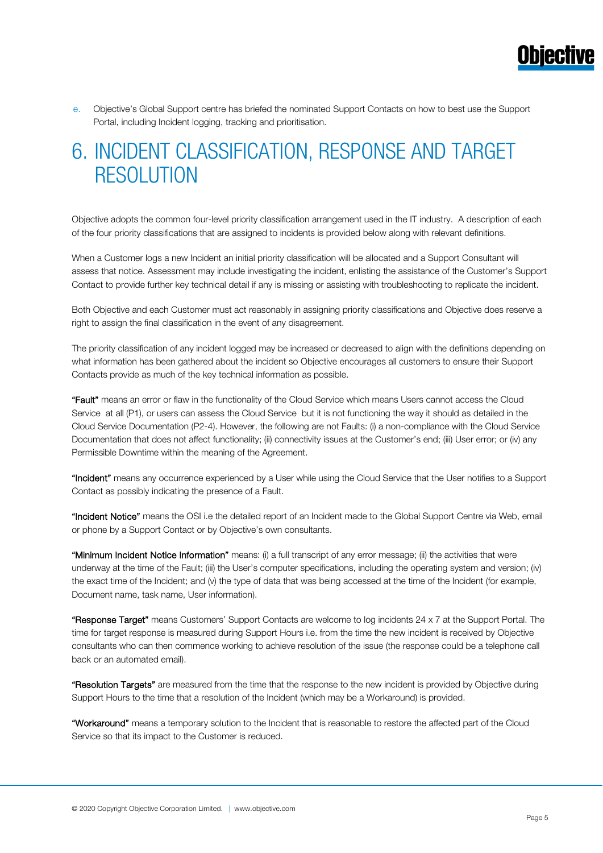

e. Objective's Global Support centre has briefed the nominated Support Contacts on how to best use the Support Portal, including Incident logging, tracking and prioritisation.

### 6. INCIDENT CLASSIFICATION, RESPONSE AND TARGET RESOLUTION

Objective adopts the common four-level priority classification arrangement used in the IT industry. A description of each of the four priority classifications that are assigned to incidents is provided below along with relevant definitions.

When a Customer logs a new Incident an initial priority classification will be allocated and a Support Consultant will assess that notice. Assessment may include investigating the incident, enlisting the assistance of the Customer's Support Contact to provide further key technical detail if any is missing or assisting with troubleshooting to replicate the incident.

Both Objective and each Customer must act reasonably in assigning priority classifications and Objective does reserve a right to assign the final classification in the event of any disagreement.

The priority classification of any incident logged may be increased or decreased to align with the definitions depending on what information has been gathered about the incident so Objective encourages all customers to ensure their Support Contacts provide as much of the key technical information as possible.

"Fault" means an error or flaw in the functionality of the Cloud Service which means Users cannot access the Cloud Service at all (P1), or users can assess the Cloud Service but it is not functioning the way it should as detailed in the Cloud Service Documentation (P2-4). However, the following are not Faults: (i) a non-compliance with the Cloud Service Documentation that does not affect functionality; (ii) connectivity issues at the Customer's end; (iii) User error; or (iv) any Permissible Downtime within the meaning of the Agreement.

"Incident" means any occurrence experienced by a User while using the Cloud Service that the User notifies to a Support Contact as possibly indicating the presence of a Fault.

"Incident Notice" means the OSI i.e the detailed report of an Incident made to the Global Support Centre via Web, email or phone by a Support Contact or by Objective's own consultants.

"Minimum Incident Notice Information" means: (i) a full transcript of any error message; (ii) the activities that were underway at the time of the Fault; (iii) the User's computer specifications, including the operating system and version; (iv) the exact time of the Incident; and (v) the type of data that was being accessed at the time of the Incident (for example, Document name, task name, User information).

"Response Target" means Customers' Support Contacts are welcome to log incidents 24 x 7 at the Support Portal. The time for target response is measured during Support Hours i.e. from the time the new incident is received by Objective consultants who can then commence working to achieve resolution of the issue (the response could be a telephone call back or an automated email).

"Resolution Targets" are measured from the time that the response to the new incident is provided by Objective during Support Hours to the time that a resolution of the Incident (which may be a Workaround) is provided.

"Workaround" means a temporary solution to the Incident that is reasonable to restore the affected part of the Cloud Service so that its impact to the Customer is reduced.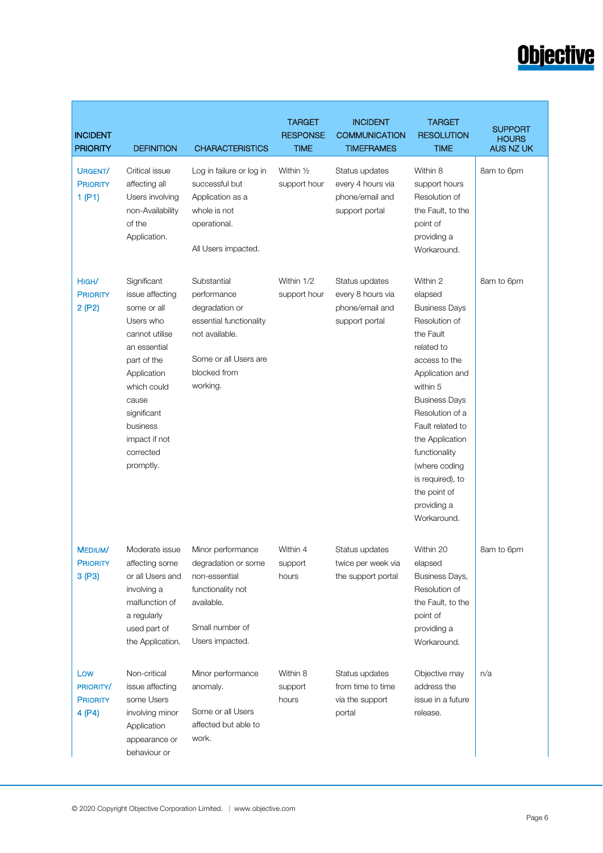# **Objective**

| <b>INCIDENT</b><br><b>PRIORITY</b>            | <b>DEFINITION</b>                                                                                                                                                                                                        | <b>CHARACTERISTICS</b>                                                                                                                         | <b>TARGET</b><br><b>RESPONSE</b><br><b>TIME</b> | <b>INCIDENT</b><br><b>COMMUNICATION</b><br><b>TIMEFRAMES</b>             | <b>TARGET</b><br><b>RESOLUTION</b><br><b>TIME</b>                                                                                                                                                                                                                                                                             | <b>SUPPORT</b><br><b>HOURS</b><br>AUS NZ UK |
|-----------------------------------------------|--------------------------------------------------------------------------------------------------------------------------------------------------------------------------------------------------------------------------|------------------------------------------------------------------------------------------------------------------------------------------------|-------------------------------------------------|--------------------------------------------------------------------------|-------------------------------------------------------------------------------------------------------------------------------------------------------------------------------------------------------------------------------------------------------------------------------------------------------------------------------|---------------------------------------------|
| URGENT/<br><b>PRIORITY</b><br>1(P1)           | Critical issue<br>affecting all<br>Users involving<br>non-Availability<br>of the<br>Application.                                                                                                                         | Log in failure or log in<br>successful but<br>Application as a<br>whole is not<br>operational.<br>All Users impacted.                          | Within 1/2<br>support hour                      | Status updates<br>every 4 hours via<br>phone/email and<br>support portal | Within 8<br>support hours<br>Resolution of<br>the Fault, to the<br>point of<br>providing a<br>Workaround.                                                                                                                                                                                                                     | 8am to 6pm                                  |
| HIGH/<br><b>PRIORITY</b><br>2(P2)             | Significant<br>issue affecting<br>some or all<br>Users who<br>cannot utilise<br>an essential<br>part of the<br>Application<br>which could<br>cause<br>significant<br>business<br>impact if not<br>corrected<br>promptly. | Substantial<br>performance<br>degradation or<br>essential functionality<br>not available.<br>Some or all Users are<br>blocked from<br>working. | Within 1/2<br>support hour                      | Status updates<br>every 8 hours via<br>phone/email and<br>support portal | Within 2<br>elapsed<br><b>Business Days</b><br>Resolution of<br>the Fault<br>related to<br>access to the<br>Application and<br>within 5<br><b>Business Days</b><br>Resolution of a<br>Fault related to<br>the Application<br>functionality<br>(where coding<br>is required), to<br>the point of<br>providing a<br>Workaround. | 8am to 6pm                                  |
| MEDIUM/<br><b>PRIORITY</b><br>3(P3)           | Moderate issue<br>affecting some<br>or all Users and<br>involving a<br>malfunction of<br>a regularly<br>used part of<br>the Application.                                                                                 | Minor performance<br>degradation or some<br>non-essential<br>functionality not<br>available.<br>Small number of<br>Users impacted.             | Within 4<br>support<br>hours                    | Status updates<br>twice per week via<br>the support portal               | Within 20<br>elapsed<br>Business Days,<br>Resolution of<br>the Fault, to the<br>point of<br>providing a<br>Workaround.                                                                                                                                                                                                        | 8am to 6pm                                  |
| Low<br>PRIORITY/<br><b>PRIORITY</b><br>4 (P4) | Non-critical<br>issue affecting<br>some Users<br>involving minor<br>Application<br>appearance or<br>behaviour or                                                                                                         | Minor performance<br>anomaly.<br>Some or all Users<br>affected but able to<br>work.                                                            | Within 8<br>support<br>hours                    | Status updates<br>from time to time<br>via the support<br>portal         | Objective may<br>address the<br>issue in a future<br>release.                                                                                                                                                                                                                                                                 | n/a                                         |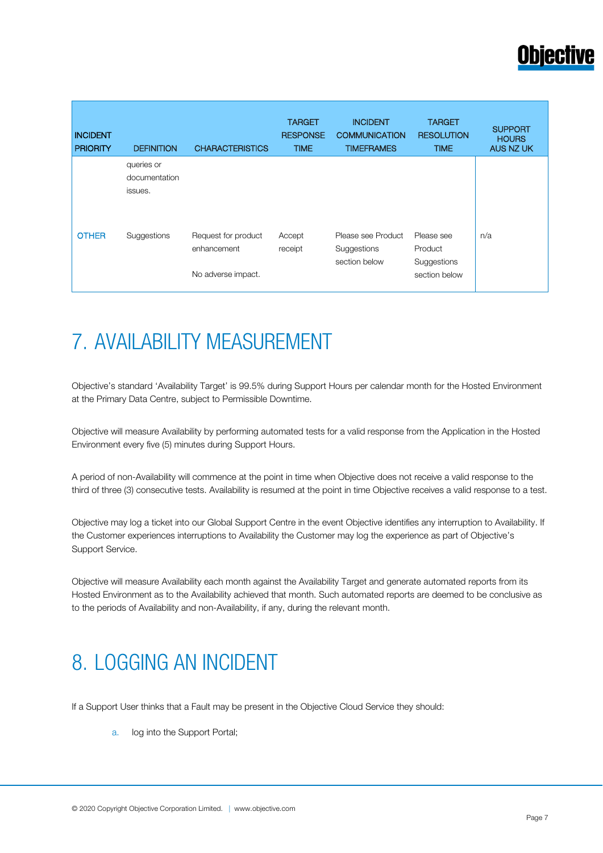

| <b>INCIDENT</b><br><b>PRIORITY</b> | <b>DEFINITION</b>           | <b>CHARACTERISTICS</b>             | <b>TARGET</b><br><b>RESPONSE</b><br><b>TIME</b> | <b>INCIDENT</b><br><b>COMMUNICATION</b><br><b>TIMEFRAMES</b> | <b>TARGET</b><br><b>RESOLUTION</b><br><b>TIME</b> | <b>SUPPORT</b><br><b>HOURS</b><br><b>AUS NZ UK</b> |
|------------------------------------|-----------------------------|------------------------------------|-------------------------------------------------|--------------------------------------------------------------|---------------------------------------------------|----------------------------------------------------|
|                                    | queries or<br>documentation |                                    |                                                 |                                                              |                                                   |                                                    |
|                                    | issues.                     |                                    |                                                 |                                                              |                                                   |                                                    |
| <b>OTHER</b>                       | Suggestions                 | Request for product<br>enhancement | Accept<br>receipt                               | Please see Product<br>Suggestions                            | Please see<br>Product                             | n/a                                                |
|                                    |                             | No adverse impact.                 |                                                 | section below                                                | Suggestions<br>section below                      |                                                    |

# 7. AVAILABILITY MEASUREMENT

Objective's standard 'Availability Target' is 99.5% during Support Hours per calendar month for the Hosted Environment at the Primary Data Centre, subject to Permissible Downtime.

Objective will measure Availability by performing automated tests for a valid response from the Application in the Hosted Environment every five (5) minutes during Support Hours.

A period of non-Availability will commence at the point in time when Objective does not receive a valid response to the third of three (3) consecutive tests. Availability is resumed at the point in time Objective receives a valid response to a test.

Objective may log a ticket into our Global Support Centre in the event Objective identifies any interruption to Availability. If the Customer experiences interruptions to Availability the Customer may log the experience as part of Objective's Support Service.

Objective will measure Availability each month against the Availability Target and generate automated reports from its Hosted Environment as to the Availability achieved that month. Such automated reports are deemed to be conclusive as to the periods of Availability and non-Availability, if any, during the relevant month.

### 8. LOGGING AN INCIDENT

If a Support User thinks that a Fault may be present in the Objective Cloud Service they should:

a. log into the Support Portal;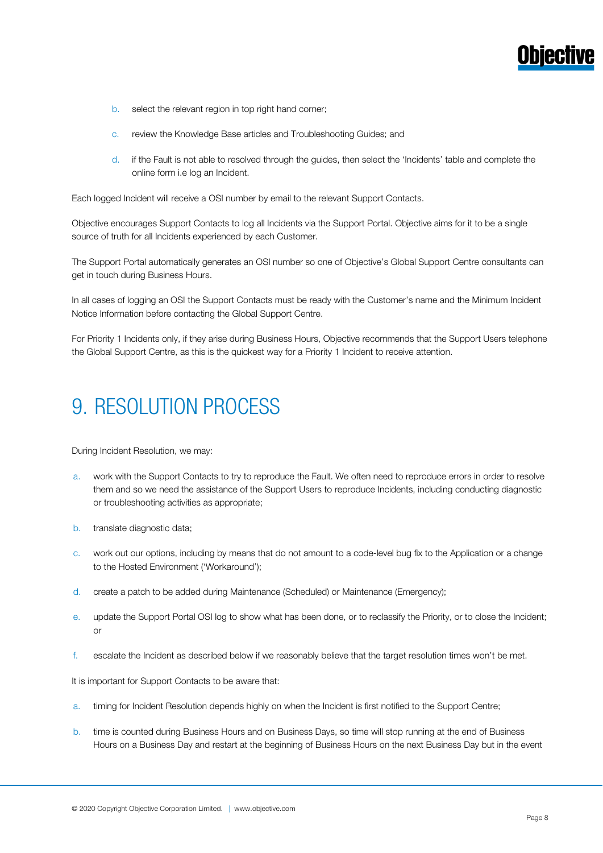- b. select the relevant region in top right hand corner;
- c. review the Knowledge Base articles and Troubleshooting Guides; and
- d. if the Fault is not able to resolved through the guides, then select the 'Incidents' table and complete the online form i.e log an Incident.

Each logged Incident will receive a OSI number by email to the relevant Support Contacts.

Objective encourages Support Contacts to log all Incidents via the Support Portal. Objective aims for it to be a single source of truth for all Incidents experienced by each Customer.

The Support Portal automatically generates an OSI number so one of Objective's Global Support Centre consultants can get in touch during Business Hours.

In all cases of logging an OSI the Support Contacts must be ready with the Customer's name and the Minimum Incident Notice Information before contacting the Global Support Centre.

For Priority 1 Incidents only, if they arise during Business Hours, Objective recommends that the Support Users telephone the Global Support Centre, as this is the quickest way for a Priority 1 Incident to receive attention.

# 9. RESOLUTION PROCESS

During Incident Resolution, we may:

- a. work with the Support Contacts to try to reproduce the Fault. We often need to reproduce errors in order to resolve them and so we need the assistance of the Support Users to reproduce Incidents, including conducting diagnostic or troubleshooting activities as appropriate;
- b. translate diagnostic data;
- c. work out our options, including by means that do not amount to a code-level bug fix to the Application or a change to the Hosted Environment ('Workaround');
- d. create a patch to be added during Maintenance (Scheduled) or Maintenance (Emergency);
- e. update the Support Portal OSI log to show what has been done, or to reclassify the Priority, or to close the Incident; or
- f. escalate the Incident as described below if we reasonably believe that the target resolution times won't be met.

It is important for Support Contacts to be aware that:

- a. timing for Incident Resolution depends highly on when the Incident is first notified to the Support Centre;
- b. time is counted during Business Hours and on Business Days, so time will stop running at the end of Business Hours on a Business Day and restart at the beginning of Business Hours on the next Business Day but in the event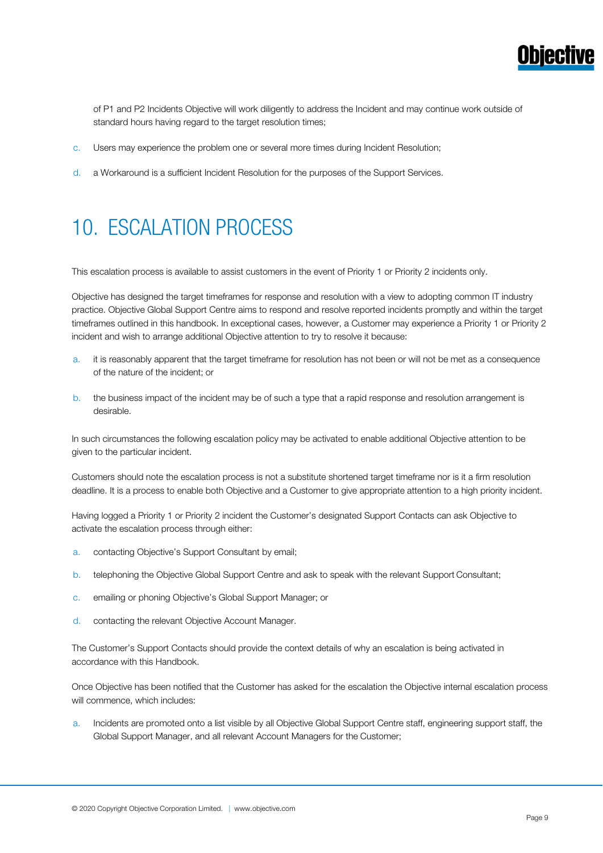

of P1 and P2 Incidents Objective will work diligently to address the Incident and may continue work outside of standard hours having regard to the target resolution times;

- c. Users may experience the problem one or several more times during Incident Resolution;
- d. a Workaround is a sufficient Incident Resolution for the purposes of the Support Services.

## 10. ESCALATION PROCESS

This escalation process is available to assist customers in the event of Priority 1 or Priority 2 incidents only.

Objective has designed the target timeframes for response and resolution with a view to adopting common IT industry practice. Objective Global Support Centre aims to respond and resolve reported incidents promptly and within the target timeframes outlined in this handbook. In exceptional cases, however, a Customer may experience a Priority 1 or Priority 2 incident and wish to arrange additional Objective attention to try to resolve it because:

- a. it is reasonably apparent that the target timeframe for resolution has not been or will not be met as a consequence of the nature of the incident; or
- b. the business impact of the incident may be of such a type that a rapid response and resolution arrangement is desirable.

In such circumstances the following escalation policy may be activated to enable additional Objective attention to be given to the particular incident.

Customers should note the escalation process is not a substitute shortened target timeframe nor is it a firm resolution deadline. It is a process to enable both Objective and a Customer to give appropriate attention to a high priority incident.

Having logged a Priority 1 or Priority 2 incident the Customer's designated Support Contacts can ask Objective to activate the escalation process through either:

- a. contacting Objective's Support Consultant by email;
- b. telephoning the Objective Global Support Centre and ask to speak with the relevant Support Consultant;
- c. emailing or phoning Objective's Global Support Manager; or
- d. contacting the relevant Objective Account Manager.

The Customer's Support Contacts should provide the context details of why an escalation is being activated in accordance with this Handbook.

Once Objective has been notified that the Customer has asked for the escalation the Objective internal escalation process will commence, which includes:

a. Incidents are promoted onto a list visible by all Objective Global Support Centre staff, engineering support staff, the Global Support Manager, and all relevant Account Managers for the Customer;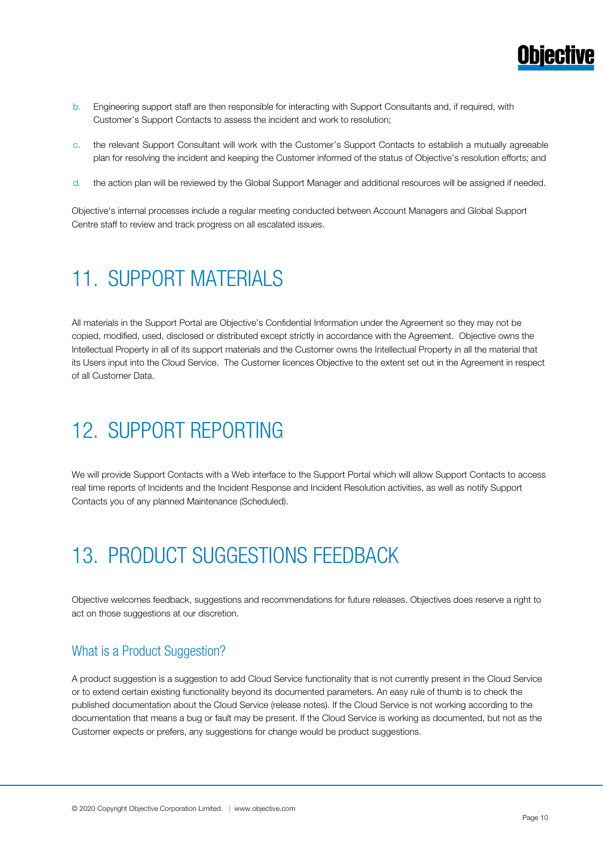

- b. Engineering support staff are then responsible for interacting with Support Consultants and, if required, with Customer's Support Contacts to assess the incident and work to resolution;
- c. the relevant Support Consultant will work with the Customer's Support Contacts to establish a mutually agreeable plan for resolving the incident and keeping the Customer informed of the status of Objective's resolution efforts; and
- d. the action plan will be reviewed by the Global Support Manager and additional resources will be assigned if needed.

Objective's internal processes include a regular meeting conducted between Account Managers and Global Support Centre staff to review and track progress on all escalated issues.

### 11. SUPPORT MATERIALS

All materials in the Support Portal are Objective's Confidential Information under the Agreement so they may not be copied, modified, used, disclosed or distributed except strictly in accordance with the Agreement. Objective owns the Intellectual Property in all of its support materials and the Customer owns the Intellectual Property in all the material that its Users input into the Cloud Service. The Customer licences Objective to the extent set out in the Agreement in respect of all Customer Data.

# 12. SUPPORT REPORTING

We will provide Support Contacts with a Web interface to the Support Portal which will allow Support Contacts to access real time reports of Incidents and the Incident Response and Incident Resolution activities, as well as notify Support Contacts you of any planned Maintenance (Scheduled).

### 13. PRODUCT SUGGESTIONS FEEDBACK

Objective welcomes feedback, suggestions and recommendations for future releases. Objectives does reserve a right to act on those suggestions at our discretion.

### What is a Product Suggestion?

A product suggestion is a suggestion to add Cloud Service functionality that is not currently present in the Cloud Service or to extend certain existing functionality beyond its documented parameters. An easy rule of thumb is to check the published documentation about the Cloud Service (release notes). If the Cloud Service is not working according to the documentation that means a bug or fault may be present. If the Cloud Service is working as documented, but not as the Customer expects or prefers, any suggestions for change would be product suggestions.